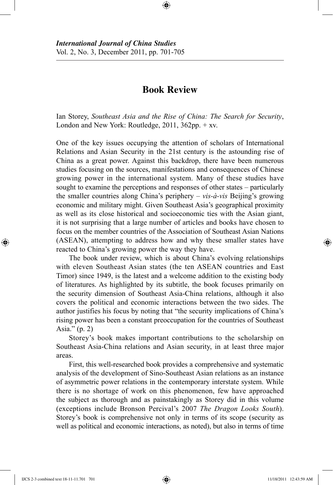## **Book Review**

⊕

Ian Storey, *Southeast Asia and the Rise of China: The Search for Security*, London and New York: Routledge, 2011, 362pp. + xv.

One of the key issues occupying the attention of scholars of International Relations and Asian Security in the 21st century is the astounding rise of China as a great power. Against this backdrop, there have been numerous studies focusing on the sources, manifestations and consequences of Chinese growing power in the international system. Many of these studies have sought to examine the perceptions and responses of other states – particularly the smaller countries along China's periphery – *vis-à-vis* Beijing's growing economic and military might. Given Southeast Asia's geographical proximity as well as its close historical and socioeconomic ties with the Asian giant, it is not surprising that a large number of articles and books have chosen to focus on the member countries of the Association of Southeast Asian Nations (ASEAN), attempting to address how and why these smaller states have reacted to China's growing power the way they have.

The book under review, which is about China's evolving relationships with eleven Southeast Asian states (the ten ASEAN countries and East Timor) since 1949, is the latest and a welcome addition to the existing body of literatures. As highlighted by its subtitle, the book focuses primarily on the security dimension of Southeast Asia-China relations, although it also covers the political and economic interactions between the two sides. The author justifies his focus by noting that "the security implications of China's rising power has been a constant preoccupation for the countries of Southeast Asia." (p. 2)

Storey's book makes important contributions to the scholarship on Southeast Asia-China relations and Asian security, in at least three major areas.

First, this well-researched book provides a comprehensive and systematic analysis of the development of Sino-Southeast Asian relations as an instance of asymmetric power relations in the contemporary interstate system. While there is no shortage of work on this phenomenon, few have approached the subject as thorough and as painstakingly as Storey did in this volume (exceptions include Bronson Percival's 2007 *The Dragon Looks South*). Storey's book is comprehensive not only in terms of its scope (security as well as political and economic interactions, as noted), but also in terms of time

IJCS 2-3 combined text 18-11-11.701 701 11/18/2011 12:43:59 AM

⊕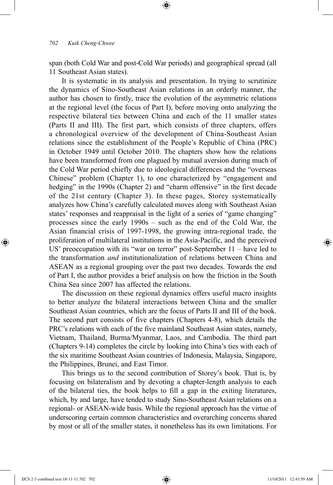span (both Cold War and post-Cold War periods) and geographical spread (all 11 Southeast Asian states).

⊕

It is systematic in its analysis and presentation. In trying to scrutinize the dynamics of Sino-Southeast Asian relations in an orderly manner, the author has chosen to firstly, trace the evolution of the asymmetric relations at the regional level (the focus of Part I), before moving onto analyzing the respective bilateral ties between China and each of the 11 smaller states (Parts II and III). The first part, which consists of three chapters, offers a chronological overview of the development of China-Southeast Asian relations since the establishment of the People's Republic of China (PRC) in October 1949 until October 2010. The chapters show how the relations have been transformed from one plagued by mutual aversion during much of the Cold War period chiefly due to ideological differences and the "overseas Chinese" problem (Chapter 1), to one characterized by "engagement and hedging" in the 1990s (Chapter 2) and "charm offensive" in the first decade of the 21st century (Chapter 3). In these pages, Storey systematically analyzes how China's carefully calculated moves along with Southeast Asian states' responses and reappraisal in the light of a series of "game changing" processes since the early 1990s – such as the end of the Cold War, the Asian financial crisis of 1997-1998, the growing intra-regional trade, the proliferation of multilateral institutions in the Asia-Pacific, and the perceived US' preoccupation with its "war on terror" post-September 11 – have led to the transformation *and* institutionalization of relations between China and ASEAN as a regional grouping over the past two decades. Towards the end of Part I, the author provides a brief analysis on how the friction in the South China Sea since 2007 has affected the relations.

The discussion on these regional dynamics offers useful macro insights to better analyze the bilateral interactions between China and the smaller Southeast Asian countries, which are the focus of Parts II and III of the book. The second part consists of five chapters (Chapters 4-8), which details the PRC's relations with each of the five mainland Southeast Asian states, namely, Vietnam, Thailand, Burma/Myanmar, Laos, and Cambodia. The third part (Chapters 9-14) completes the circle by looking into China's ties with each of the six maritime Southeast Asian countries of Indonesia, Malaysia, Singapore, the Philippines, Brunei, and East Timor.

This brings us to the second contribution of Storey's book. That is, by focusing on bilateralism and by devoting a chapter-length analysis to each of the bilateral ties, the book helps to fill a gap in the exiting literatures, which, by and large, have tended to study Sino-Southeast Asian relations on a regional- or ASEAN-wide basis. While the regional approach has the virtue of underscoring certain common characteristics and overarching concerns shared by most or all of the smaller states, it nonetheless has its own limitations. For

⊕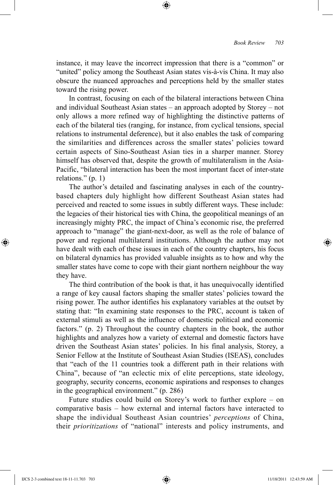instance, it may leave the incorrect impression that there is a "common" or "united" policy among the Southeast Asian states vis-à-vis China. It may also obscure the nuanced approaches and perceptions held by the smaller states toward the rising power.

⊕

In contrast, focusing on each of the bilateral interactions between China and individual Southeast Asian states – an approach adopted by Storey – not only allows a more refined way of highlighting the distinctive patterns of each of the bilateral ties (ranging, for instance, from cyclical tensions, special relations to instrumental deference), but it also enables the task of comparing the similarities and differences across the smaller states' policies toward certain aspects of Sino-Southeast Asian ties in a sharper manner. Storey himself has observed that, despite the growth of multilateralism in the Asia-Pacific, "bilateral interaction has been the most important facet of inter-state relations." (p. 1)

The author's detailed and fascinating analyses in each of the countrybased chapters duly highlight how different Southeast Asian states had perceived and reacted to some issues in subtly different ways. These include: the legacies of their historical ties with China, the geopolitical meanings of an increasingly mighty PRC, the impact of China's economic rise, the preferred approach to "manage" the giant-next-door, as well as the role of balance of power and regional multilateral institutions. Although the author may not have dealt with each of these issues in each of the country chapters, his focus on bilateral dynamics has provided valuable insights as to how and why the smaller states have come to cope with their giant northern neighbour the way they have.

The third contribution of the book is that, it has unequivocally identified a range of key causal factors shaping the smaller states' policies toward the rising power. The author identifies his explanatory variables at the outset by stating that: "In examining state responses to the PRC, account is taken of external stimuli as well as the influence of domestic political and economic factors." (p. 2) Throughout the country chapters in the book, the author highlights and analyzes how a variety of external and domestic factors have driven the Southeast Asian states' policies. In his final analysis, Storey, a Senior Fellow at the Institute of Southeast Asian Studies (ISEAS), concludes that "each of the 11 countries took a different path in their relations with China", because of "an eclectic mix of elite perceptions, state ideology, geography, security concerns, economic aspirations and responses to changes in the geographical environment." (p. 286)

Future studies could build on Storey's work to further explore – on comparative basis – how external and internal factors have interacted to shape the individual Southeast Asian countries' *perceptions* of China, their *prioritizations* of "national" interests and policy instruments, and

IJCS 2-3 combined text 18-11-11.703 703 11/18/2011 12:43:59 AM

⊕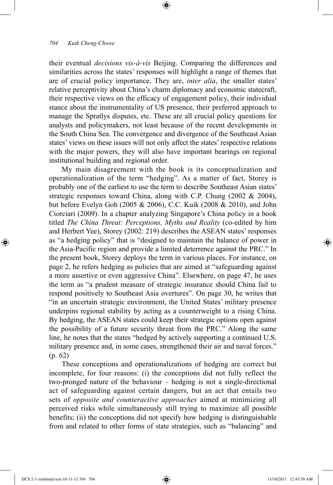## *704 Kuik Cheng-Chwee*

their eventual *decisions vis-à-vis* Beijing. Comparing the differences and similarities across the states' responses will highlight a range of themes that are of crucial policy importance. They are, *inter alia*, the smaller states' relative perceptivity about China's charm diplomacy and economic statecraft, their respective views on the efficacy of engagement policy, their individual stance about the instrumentality of US presence, their preferred approach to manage the Spratlys disputes, etc. These are all crucial policy questions for analysts and policymakers, not least because of the recent developments in the South China Sea. The convergence and divergence of the Southeast Asian states' views on these issues will not only affect the states' respective relations with the major powers, they will also have important bearings on regional institutional building and regional order.

⊕

My main disagreement with the book is its conceptualization and operationalization of the term "hedging". As a matter of fact, Storey is probably one of the earliest to use the term to describe Southeast Asian states' strategic responses toward China, along with C.P. Chung  $(2002 \& 2004)$ , but before Evelyn Goh (2005 & 2006), C.C. Kuik (2008 & 2010), and John Ciorciari (2009). In a chapter analyzing Singapore's China policy in a book titled *The China Threat: Perceptions, Myths and Reality* (co-edited by him and Herbert Yee), Storey (2002: 219) describes the ASEAN states' responses as "a hedging policy" that is "designed to maintain the balance of power in the Asia-Pacific region and provide a limited deterrence against the PRC." In the present book, Storey deploys the term in various places. For instance, on page 2, he refers hedging as policies that are aimed at "safeguarding against a more assertive or even aggressive China". Elsewhere, on page 47, he uses the term as "a prudent measure of strategic insurance should China fail to respond positively to Southeast Asia overtures". On page 30, he writes that "in an uncertain strategic environment, the United States' military presence underpins regional stability by acting as a counterweight to a rising China. By hedging, the ASEAN states could keep their strategic options open against the possibility of a future security threat from the PRC." Along the same line, he notes that the states "hedged by actively supporting a continued U.S. military presence and, in some cases, strengthened their air and naval forces." (p. 62)

These conceptions and operationalizations of hedging are correct but incomplete, for four reasons: (i) the conceptions did not fully reflect the two-pronged nature of the behaviour – hedging is not a single-directional act of safeguarding against certain dangers, but an act that entails two sets of *opposite and counteractive approaches* aimed at minimizing all perceived risks while simultaneously still trying to maximize all possible benefits; (ii) the conceptions did not specify how hedging is distinguishable from and related to other forms of state strategies, such as "balancing" and

⊕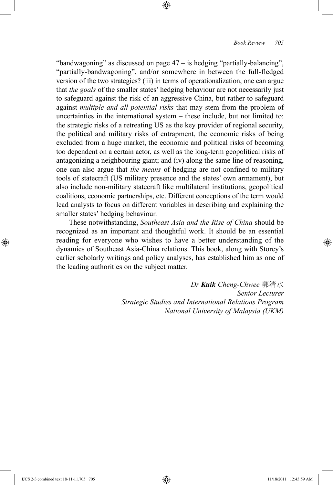"bandwagoning" as discussed on page 47 – is hedging "partially-balancing", "partially-bandwagoning", and/or somewhere in between the full-fledged version of the two strategies? (iii) in terms of operationalization, one can argue that *the goals* of the smaller states' hedging behaviour are not necessarily just to safeguard against the risk of an aggressive China, but rather to safeguard against *multiple and all potential risks* that may stem from the problem of uncertainties in the international system – these include, but not limited to: the strategic risks of a retreating US as the key provider of regional security, the political and military risks of entrapment, the economic risks of being excluded from a huge market, the economic and political risks of becoming too dependent on a certain actor, as well as the long-term geopolitical risks of antagonizing a neighbouring giant; and (iv) along the same line of reasoning, one can also argue that *the means* of hedging are not confined to military tools of statecraft (US military presence and the states' own armament), but also include non-military statecraft like multilateral institutions, geopolitical coalitions, economic partnerships, etc. Different conceptions of the term would lead analysts to focus on different variables in describing and explaining the smaller states' hedging behaviour.

⊕

These notwithstanding, *Southeast Asia and the Rise of China* should be recognized as an important and thoughtful work. It should be an essential reading for everyone who wishes to have a better understanding of the dynamics of Southeast Asia-China relations. This book, along with Storey's earlier scholarly writings and policy analyses, has established him as one of the leading authorities on the subject matter.

> *Dr Kuik Cheng-Chwee* 郭清水 *Senior Lecturer Strategic Studies and International Relations Program National University of Malaysia (UKM)*

⊕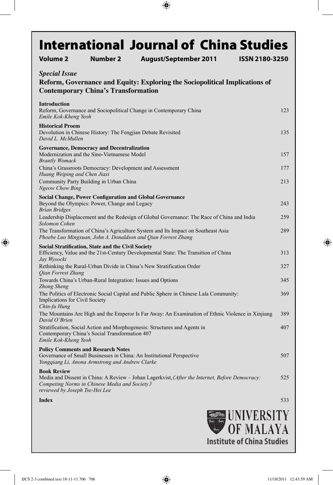| Volume 2                                              | <b>International Journal of China Studies</b><br><b>Number 2</b>                                                                                                      | <b>August/September 2011</b> |  | <b>ISSN 2180-3250</b>     |     |
|-------------------------------------------------------|-----------------------------------------------------------------------------------------------------------------------------------------------------------------------|------------------------------|--|---------------------------|-----|
|                                                       |                                                                                                                                                                       |                              |  |                           |     |
| <b>Special Issue</b>                                  |                                                                                                                                                                       |                              |  |                           |     |
|                                                       | Reform, Governance and Equity: Exploring the Sociopolitical Implications of<br><b>Contemporary China's Transformation</b>                                             |                              |  |                           |     |
|                                                       |                                                                                                                                                                       |                              |  |                           |     |
| <b>Introduction</b><br>Emile Kok-Kheng Yeoh           | Reform, Governance and Sociopolitical Change in Contemporary China                                                                                                    |                              |  |                           | 123 |
| <b>Historical Proem</b><br>David L. McMullen          | Devolution in Chinese History: The Fengjian Debate Revisited                                                                                                          |                              |  |                           | 135 |
|                                                       | <b>Governance, Democracy and Decentralization</b><br>Modernization and the Sino-Vietnamese Model                                                                      |                              |  |                           | 157 |
| <b>Brantly Womack</b><br>Huang Weiping and Chen Jiaxi | China's Grassroots Democracy: Development and Assessment                                                                                                              |                              |  |                           | 177 |
| <b>Ngeow Chow Bing</b>                                | Community Party Building in Urban China                                                                                                                               |                              |  |                           | 213 |
|                                                       | <b>Social Change, Power Configuration and Global Governance</b>                                                                                                       |                              |  |                           |     |
| <b>Brian Bridges</b>                                  | Beyond the Olympics: Power, Change and Legacy                                                                                                                         |                              |  |                           | 243 |
| Solomon Cohen                                         | Leadership Displacement and the Redesign of Global Governance: The Race of China and India                                                                            |                              |  |                           | 259 |
|                                                       | The Transformation of China's Agriculture System and Its Impact on Southeast Asia<br>Phoebe Luo Mingxuan, John A. Donaldson and Qian Forrest Zhang                    |                              |  |                           | 289 |
| Jay Wysocki                                           | Social Stratification, State and the Civil Society<br>Efficiency, Value and the 21st-Century Developmental State: The Transition of China                             |                              |  |                           | 313 |
| Qian Forrest Zhang                                    | Rethinking the Rural-Urban Divide in China's New Stratification Order                                                                                                 |                              |  |                           | 327 |
| Zhong Sheng                                           | Towards China's Urban-Rural Integration: Issues and Options                                                                                                           |                              |  |                           | 345 |
| Implications for Civil Society<br>Chin-fu Hung        | The Politics of Electronic Social Capital and Public Sphere in Chinese Lala Community:                                                                                |                              |  |                           | 369 |
| David O'Brien                                         | The Mountains Are High and the Emperor Is Far Away: An Examination of Ethnic Violence in Xinjiang                                                                     |                              |  |                           | 389 |
| Emile Kok-Kheng Yeoh                                  | Stratification, Social Action and Morphogenesis: Structures and Agents in<br>Contemporary China's Social Transformation 407                                           |                              |  |                           | 407 |
|                                                       | <b>Policy Comments and Research Notes</b><br>Governance of Small Businesses in China: An Institutional Perspective<br>Yongqiang Li, Anona Armstrong and Andrew Clarke |                              |  |                           | 507 |
| <b>Book Review</b><br>reviewed by Joseph Tse-Hei Lee  | Media and Dissent in China: A Review – Johan Lagerkvist, <i>(After the Internet, Before Democracy:</i><br>Competing Norms in Chinese Media and Society »              |                              |  |                           | 525 |
| <b>Index</b>                                          |                                                                                                                                                                       |                              |  |                           | 533 |
|                                                       |                                                                                                                                                                       |                              |  |                           |     |
|                                                       |                                                                                                                                                                       |                              |  | <b>EXAMPLE UNIVERSITY</b> |     |

 $\bigoplus$ 

OF MALAYA **Institute of China Studies** 

 $\overline{\phantom{a}}$ 

 $\bigoplus$ 

 $\bigoplus$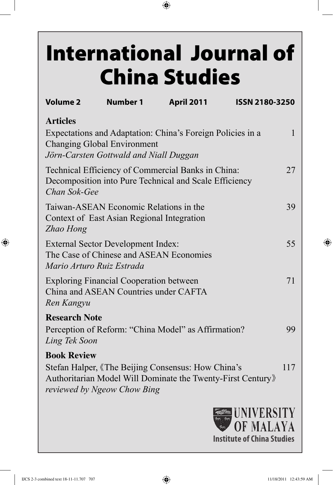## **International Journal of** China Studies

 $\bigoplus$ 

| <b>Volume 2</b>                       | <b>Number 1</b>                                                                         | <b>April 2011</b>                                                                                                 | ISSN 2180-3250 |     |
|---------------------------------------|-----------------------------------------------------------------------------------------|-------------------------------------------------------------------------------------------------------------------|----------------|-----|
| <b>Articles</b>                       | <b>Changing Global Environment</b>                                                      | Expectations and Adaptation: China's Foreign Policies in a                                                        |                | 1   |
|                                       | Jörn-Carsten Gottwald and Niall Duggan                                                  |                                                                                                                   |                |     |
| Chan Sok-Gee                          |                                                                                         | Technical Efficiency of Commercial Banks in China:<br>Decomposition into Pure Technical and Scale Efficiency      |                | 27  |
| Zhao Hong                             | Taiwan-ASEAN Economic Relations in the<br>Context of East Asian Regional Integration    |                                                                                                                   |                | 39  |
| Mario Arturo Ruiz Estrada             | <b>External Sector Development Index:</b><br>The Case of Chinese and ASEAN Economies    |                                                                                                                   |                | 55  |
| Ren Kangyu                            | <b>Exploring Financial Cooperation between</b><br>China and ASEAN Countries under CAFTA |                                                                                                                   |                | 71  |
| <b>Research Note</b><br>Ling Tek Soon |                                                                                         | Perception of Reform: "China Model" as Affirmation?                                                               |                | 99  |
| <b>Book Review</b>                    | reviewed by Ngeow Chow Bing                                                             | Stefan Halper, «The Beijing Consensus: How China's<br>Authoritarian Model Will Dominate the Twenty-First Century》 |                | 117 |



⊕